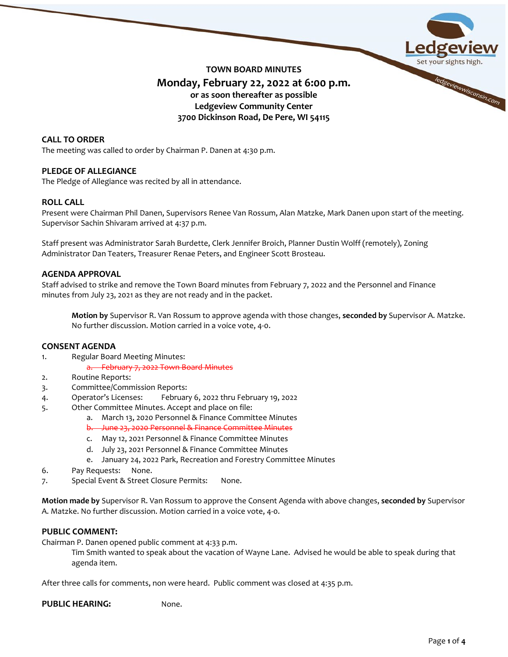

# **TOWN BOARD MINUTES Monday, February 22, 2022 at 6:00 p.m. or as soon thereafter as possible Ledgeview Community Center 3700 Dickinson Road, De Pere, WI 54115**

# **CALL TO ORDER**

The meeting was called to order by Chairman P. Danen at 4:30 p.m.

## **PLEDGE OF ALLEGIANCE**

The Pledge of Allegiance was recited by all in attendance.

# **ROLL CALL**

Present were Chairman Phil Danen, Supervisors Renee Van Rossum, Alan Matzke, Mark Danen upon start of the meeting. Supervisor Sachin Shivaram arrived at 4:37 p.m.

Staff present was Administrator Sarah Burdette, Clerk Jennifer Broich, Planner Dustin Wolff (remotely), Zoning Administrator Dan Teaters, Treasurer Renae Peters, and Engineer Scott Brosteau.

## **AGENDA APPROVAL**

Staff advised to strike and remove the Town Board minutes from February 7, 2022 and the Personnel and Finance minutes from July 23, 2021 as they are not ready and in the packet.

**Motion by** Supervisor R. Van Rossum to approve agenda with those changes, **seconded by** Supervisor A. Matzke. No further discussion. Motion carried in a voice vote, 4-0.

## **CONSENT AGENDA**

- 1. Regular Board Meeting Minutes:
	- a. February 7, 2022 Town Board Minutes
- 2. Routine Reports:
- 3. Committee/Commission Reports:
- 4. Operator's Licenses: February 6, 2022 thru February 19, 2022
- 5. Other Committee Minutes. Accept and place on file:
	- a. March 13, 2020 Personnel & Finance Committee Minutes
	- b. June 23, 2020 Personnel & Finance Committee Minutes
	- c. May 12, 2021 Personnel & Finance Committee Minutes
	- d. July 23, 2021 Personnel & Finance Committee Minutes
	- e. January 24, 2022 Park, Recreation and Forestry Committee Minutes
- 6. Pay Requests: None.
- 7. Special Event & Street Closure Permits: None.

**Motion made by** Supervisor R. Van Rossum to approve the Consent Agenda with above changes, **seconded by** Supervisor A. Matzke. No further discussion. Motion carried in a voice vote, 4-0.

## **PUBLIC COMMENT:**

Chairman P. Danen opened public comment at 4:33 p.m.

Tim Smith wanted to speak about the vacation of Wayne Lane. Advised he would be able to speak during that agenda item.

After three calls for comments, non were heard. Public comment was closed at 4:35 p.m.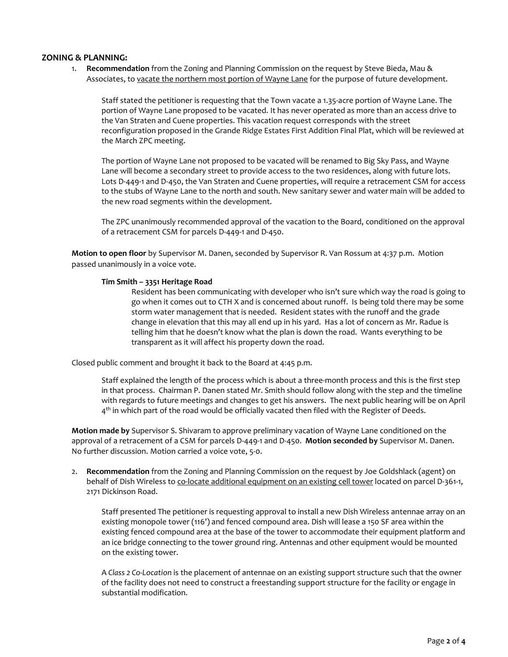## **ZONING & PLANNING:**

1. **Recommendation** from the Zoning and Planning Commission on the request by Steve Bieda, Mau & Associates, to vacate the northern most portion of Wayne Lane for the purpose of future development.

Staff stated the petitioner is requesting that the Town vacate a 1.35-acre portion of Wayne Lane. The portion of Wayne Lane proposed to be vacated. It has never operated as more than an access drive to the Van Straten and Cuene properties. This vacation request corresponds with the street reconfiguration proposed in the Grande Ridge Estates First Addition Final Plat, which will be reviewed at the March ZPC meeting.

The portion of Wayne Lane not proposed to be vacated will be renamed to Big Sky Pass, and Wayne Lane will become a secondary street to provide access to the two residences, along with future lots. Lots D-449-1 and D-450, the Van Straten and Cuene properties, will require a retracement CSM for access to the stubs of Wayne Lane to the north and south. New sanitary sewer and water main will be added to the new road segments within the development.

The ZPC unanimously recommended approval of the vacation to the Board, conditioned on the approval of a retracement CSM for parcels D-449-1 and D-450.

**Motion to open floor** by Supervisor M. Danen, seconded by Supervisor R. Van Rossum at 4:37 p.m. Motion passed unanimously in a voice vote.

#### **Tim Smith – 3351 Heritage Road**

Resident has been communicating with developer who isn't sure which way the road is going to go when it comes out to CTH X and is concerned about runoff. Is being told there may be some storm water management that is needed. Resident states with the runoff and the grade change in elevation that this may all end up in his yard. Has a lot of concern as Mr. Radue is telling him that he doesn't know what the plan is down the road. Wants everything to be transparent as it will affect his property down the road.

Closed public comment and brought it back to the Board at 4:45 p.m.

Staff explained the length of the process which is about a three-month process and this is the first step in that process. Chairman P. Danen stated Mr. Smith should follow along with the step and the timeline with regards to future meetings and changes to get his answers. The next public hearing will be on April  $4<sup>th</sup>$  in which part of the road would be officially vacated then filed with the Register of Deeds.

**Motion made by** Supervisor S. Shivaram to approve preliminary vacation of Wayne Lane conditioned on the approval of a retracement of a CSM for parcels D-449-1 and D-450. **Motion seconded by** Supervisor M. Danen. No further discussion. Motion carried a voice vote, 5-0.

2. **Recommendation** from the Zoning and Planning Commission on the request by Joe Goldshlack (agent) on behalf of Dish Wireless to co-locate additional equipment on an existing cell tower located on parcel D-361-1, 2171 Dickinson Road.

Staff presented The petitioner is requesting approval to install a new Dish Wireless antennae array on an existing monopole tower (116') and fenced compound area. Dish will lease a 150 SF area within the existing fenced compound area at the base of the tower to accommodate their equipment platform and an ice bridge connecting to the tower ground ring. Antennas and other equipment would be mounted on the existing tower.

A *Class 2 Co-Location* is the placement of antennae on an existing support structure such that the owner of the facility does not need to construct a freestanding support structure for the facility or engage in substantial modification.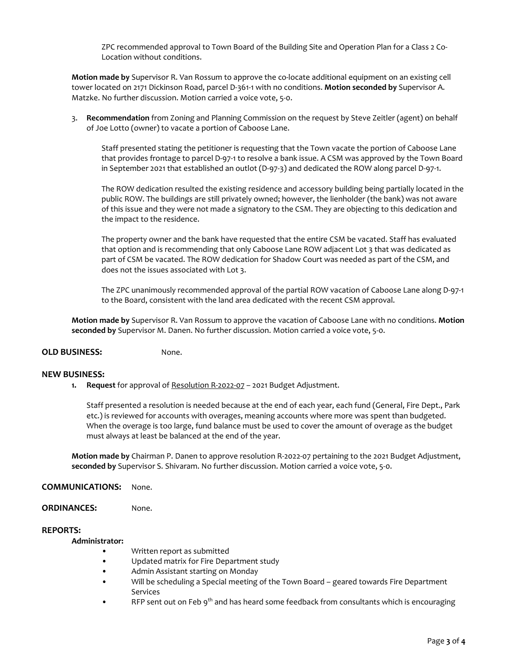ZPC recommended approval to Town Board of the Building Site and Operation Plan for a Class 2 Co-Location without conditions.

**Motion made by** Supervisor R. Van Rossum to approve the co-locate additional equipment on an existing cell tower located on 2171 Dickinson Road, parcel D-361-1 with no conditions. **Motion seconded by** Supervisor A. Matzke. No further discussion. Motion carried a voice vote, 5-0.

3. **Recommendation** from Zoning and Planning Commission on the request by Steve Zeitler (agent) on behalf of Joe Lotto (owner) to vacate a portion of Caboose Lane.

Staff presented stating the petitioner is requesting that the Town vacate the portion of Caboose Lane that provides frontage to parcel D-97-1 to resolve a bank issue. A CSM was approved by the Town Board in September 2021 that established an outlot (D-97-3) and dedicated the ROW along parcel D-97-1.

The ROW dedication resulted the existing residence and accessory building being partially located in the public ROW. The buildings are still privately owned; however, the lienholder (the bank) was not aware of this issue and they were not made a signatory to the CSM. They are objecting to this dedication and the impact to the residence.

The property owner and the bank have requested that the entire CSM be vacated. Staff has evaluated that option and is recommending that only Caboose Lane ROW adjacent Lot 3 that was dedicated as part of CSM be vacated. The ROW dedication for Shadow Court was needed as part of the CSM, and does not the issues associated with Lot 3.

The ZPC unanimously recommended approval of the partial ROW vacation of Caboose Lane along D-97-1 to the Board, consistent with the land area dedicated with the recent CSM approval.

**Motion made by** Supervisor R. Van Rossum to approve the vacation of Caboose Lane with no conditions. **Motion seconded by** Supervisor M. Danen. No further discussion. Motion carried a voice vote, 5-0.

## **OLD BUSINESS:** None.

## **NEW BUSINESS:**

**1. Request** for approval of Resolution R-2022-07 – 2021 Budget Adjustment.

Staff presented a resolution is needed because at the end of each year, each fund (General, Fire Dept., Park etc.) is reviewed for accounts with overages, meaning accounts where more was spent than budgeted. When the overage is too large, fund balance must be used to cover the amount of overage as the budget must always at least be balanced at the end of the year.

**Motion made by** Chairman P. Danen to approve resolution R-2022-07 pertaining to the 2021 Budget Adjustment, **seconded by** Supervisor S. Shivaram. No further discussion. Motion carried a voice vote, 5-0.

## **COMMUNICATIONS:** None.

**ORDINANCES:** None.

## **REPORTS:**

**Administrator:**

- Written report as submitted
- Updated matrix for Fire Department study
- Admin Assistant starting on Monday
- Will be scheduling a Special meeting of the Town Board geared towards Fire Department Services
- RFP sent out on Feb 9<sup>th</sup> and has heard some feedback from consultants which is encouraging